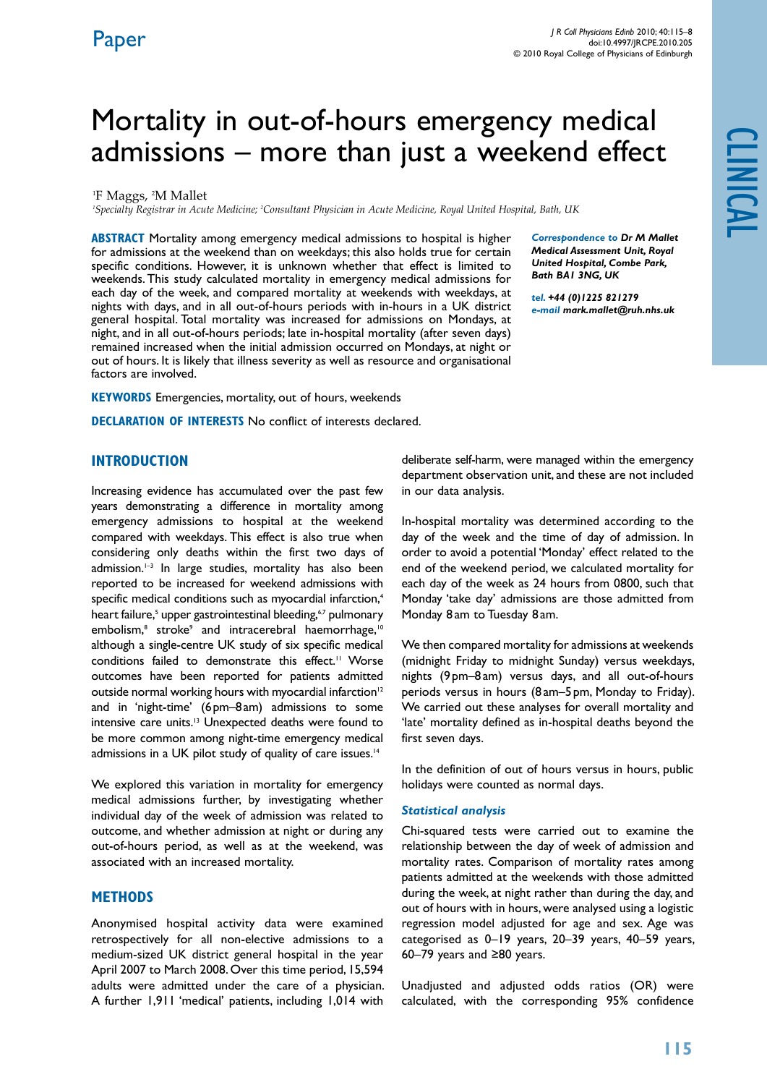*Correspondence to Dr M Mallet Medical Assessment Unit, Royal United Hospital, Combe Park,* 

*Bath BA1 3NG, UK tel. +44 (0)1225 821279 e-mail mark.mallet@ruh.nhs.uk*

# Mortality in out-of-hours emergency medical admissions – more than just a weekend effect

<sup>1</sup>F Maggs, <sup>2</sup>M Mallet

*1 Specialty Registrar in Acute Medicine; 2 Consultant Physician in Acute Medicine, Royal United Hospital, Bath, UK*

**ABSTRACT** Mortality among emergency medical admissions to hospital is higher for admissions at the weekend than on weekdays; this also holds true for certain specific conditions. However, it is unknown whether that effect is limited to weekends. This study calculated mortality in emergency medical admissions for each day of the week, and compared mortality at weekends with weekdays, at nights with days, and in all out-of-hours periods with in-hours in a UK district general hospital. Total mortality was increased for admissions on Mondays, at night, and in all out-of-hours periods; late in-hospital mortality (after seven days) remained increased when the initial admission occurred on Mondays, at night or out of hours. It is likely that illness severity as well as resource and organisational factors are involved.

**KEYWORDS** Emergencies, mortality, out of hours, weekends

**Declaration of Interests** No conflict of interests declared.

## **Introduction**

Increasing evidence has accumulated over the past few years demonstrating a difference in mortality among emergency admissions to hospital at the weekend compared with weekdays. This effect is also true when considering only deaths within the first two days of admission.<sup>1-3</sup> In large studies, mortality has also been reported to be increased for weekend admissions with specific medical conditions such as myocardial infarction,<sup>4</sup> heart failure,<sup>5</sup> upper gastrointestinal bleeding,<sup>6,7</sup> pulmonary embolism,<sup>8</sup> stroke<sup>9</sup> and intracerebral haemorrhage,<sup>10</sup> although a single-centre UK study of six specific medical conditions failed to demonstrate this effect.<sup>11</sup> Worse outcomes have been reported for patients admitted outside normal working hours with myocardial infarction<sup>12</sup> and in 'night-time' (6pm–8am) admissions to some intensive care units.13 Unexpected deaths were found to be more common among night-time emergency medical admissions in a UK pilot study of quality of care issues.<sup>14</sup>

We explored this variation in mortality for emergency medical admissions further, by investigating whether individual day of the week of admission was related to outcome, and whether admission at night or during any out-of-hours period, as well as at the weekend, was associated with an increased mortality.

## **Methods**

Anonymised hospital activity data were examined retrospectively for all non-elective admissions to a medium-sized UK district general hospital in the year April 2007 to March 2008. Over this time period, 15,594 adults were admitted under the care of a physician. A further 1,911 'medical' patients, including 1,014 with

deliberate self-harm, were managed within the emergency department observation unit, and these are not included in our data analysis.

In-hospital mortality was determined according to the day of the week and the time of day of admission. In order to avoid a potential 'Monday' effect related to the end of the weekend period, we calculated mortality for each day of the week as 24 hours from 0800, such that Monday 'take day' admissions are those admitted from Monday 8 am to Tuesday 8am.

We then compared mortality for admissions at weekends (midnight Friday to midnight Sunday) versus weekdays, nights (9 pm–8am) versus days, and all out-of-hours periods versus in hours (8 am–5 pm, Monday to Friday). We carried out these analyses for overall mortality and 'late' mortality defined as in-hospital deaths beyond the first seven days.

In the definition of out of hours versus in hours, public holidays were counted as normal days.

#### *Statistical analysis*

Chi-squared tests were carried out to examine the relationship between the day of week of admission and mortality rates. Comparison of mortality rates among patients admitted at the weekends with those admitted during the week, at night rather than during the day, and out of hours with in hours, were analysed using a logistic regression model adjusted for age and sex. Age was categorised as 0–19 years, 20–39 years, 40–59 years, 60–79 years and ≥80 years.

Unadjusted and adjusted odds ratios (OR) were calculated, with the corresponding 95% confidence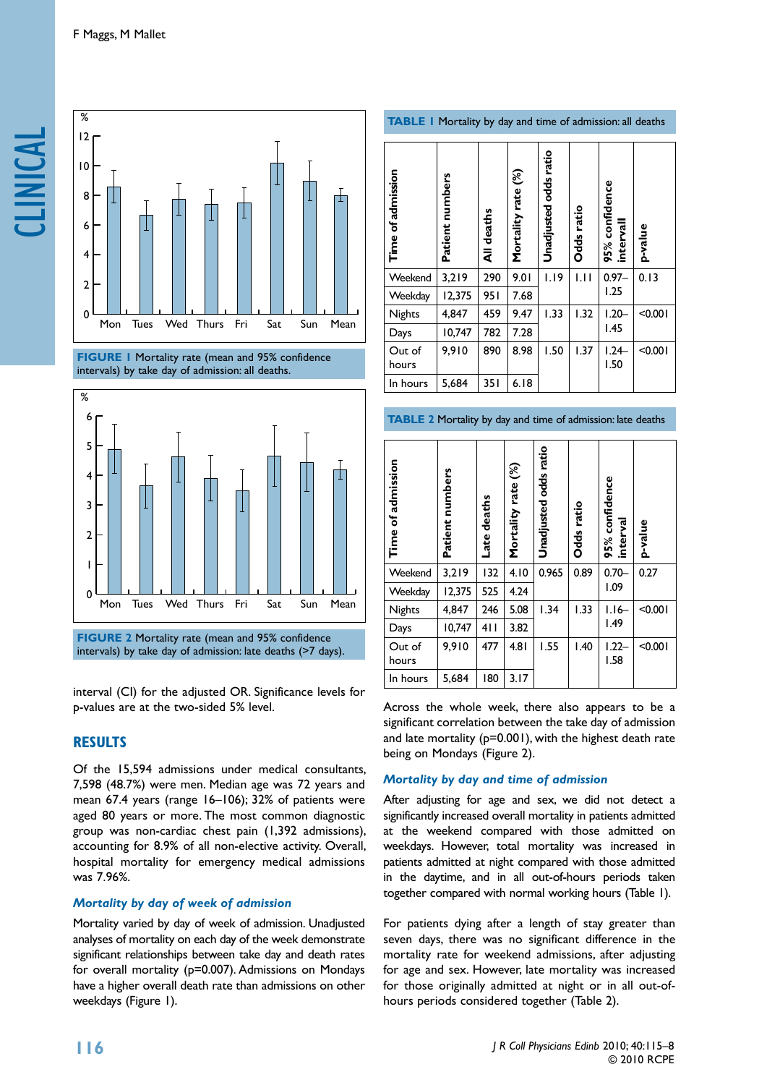

**FIGURE 1 Mortality rate (mean and 95% confidence** intervals) by take day of admission: all deaths.



intervals) by take day of admission: late deaths (>7 days).

interval (CI) for the adjusted OR. Significance levels for p-values are at the two-sided 5% level.

## **Results**

Of the 15,594 admissions under medical consultants, 7,598 (48.7%) were men. Median age was 72 years and mean 67.4 years (range 16–106); 32% of patients were aged 80 years or more. The most common diagnostic group was non-cardiac chest pain (1,392 admissions), accounting for 8.9% of all non-elective activity. Overall, hospital mortality for emergency medical admissions was 7.96%.

## *Mortality by day of week of admission*

Mortality varied by day of week of admission. Unadjusted analyses of mortality on each day of the week demonstrate significant relationships between take day and death rates for overall mortality (p=0.007). Admissions on Mondays have a higher overall death rate than admissions on other weekdays (Figure 1).

**TABLE 1 Mortality by day and time of admission: all deaths** 

| Time of admission | Patient numbers | All deaths | Mortality rate (%) | Unadjusted odds ratio | Odds ratio | 95% confidence<br>intervall | p-value |
|-------------------|-----------------|------------|--------------------|-----------------------|------------|-----------------------------|---------|
| Weekend           | 3,219           | 290        | 9.01               | 1.19                  | 1.11       | $0.97 -$<br>1.25            | 0.13    |
| Weekday           | 12,375          | 951        | 7.68               |                       |            |                             |         |
| Nights            | 4,847           | 459        | 9.47               | 1.33                  | 1.32       | $1.20 -$<br>1.45            | < 0.001 |
| Days              | 10,747          | 782        | 7.28               |                       |            |                             |         |
| Out of<br>hours   | 9,910           | 890        | 8.98               | 1.50                  | 1.37       | $1.24-$<br>1.50             | < 0.001 |
| In hours          | 5,684           | 351        | 6.18               |                       |            |                             |         |

**TABLE 2** Mortality by day and time of admission: late deaths

| of admission<br>Time | numbers<br>Patient | deaths<br>Late | $\mathcal{E}$<br>Mortality rate | odds ratio<br>Unadjusted | Odds ratio | 95% confidence<br>interval | p-value |
|----------------------|--------------------|----------------|---------------------------------|--------------------------|------------|----------------------------|---------|
| Weekend              | 3,219              | 132            | 4.10                            | 0.965                    | 0.89       | $0.70 -$<br>1.09           | 0.27    |
| Weekday              | 12,375             | 525            | 4.24                            |                          |            |                            |         |
| Nights               | 4,847              | 246            | 5.08                            | 1.34                     | 1.33       | $1.16-$<br>1.49            | < 0.001 |
| Days                 | 10,747             | 411            | 3.82                            |                          |            |                            |         |
| Out of<br>hours      | 9,910              | 477            | 4.81                            | 1.55                     | 1.40       | $1.22 -$<br>1.58           | < 0.001 |
| In hours             | 5,684              | 180            | 3.17                            |                          |            |                            |         |

Across the whole week, there also appears to be a significant correlation between the take day of admission and late mortality (p=0.001), with the highest death rate being on Mondays (Figure 2).

## *Mortality by day and time of admission*

After adjusting for age and sex, we did not detect a significantly increased overall mortality in patients admitted at the weekend compared with those admitted on weekdays. However, total mortality was increased in patients admitted at night compared with those admitted in the daytime, and in all out-of-hours periods taken together compared with normal working hours (Table 1).

For patients dying after a length of stay greater than seven days, there was no significant difference in the mortality rate for weekend admissions, after adjusting for age and sex. However, late mortality was increased for those originally admitted at night or in all out-ofhours periods considered together (Table 2).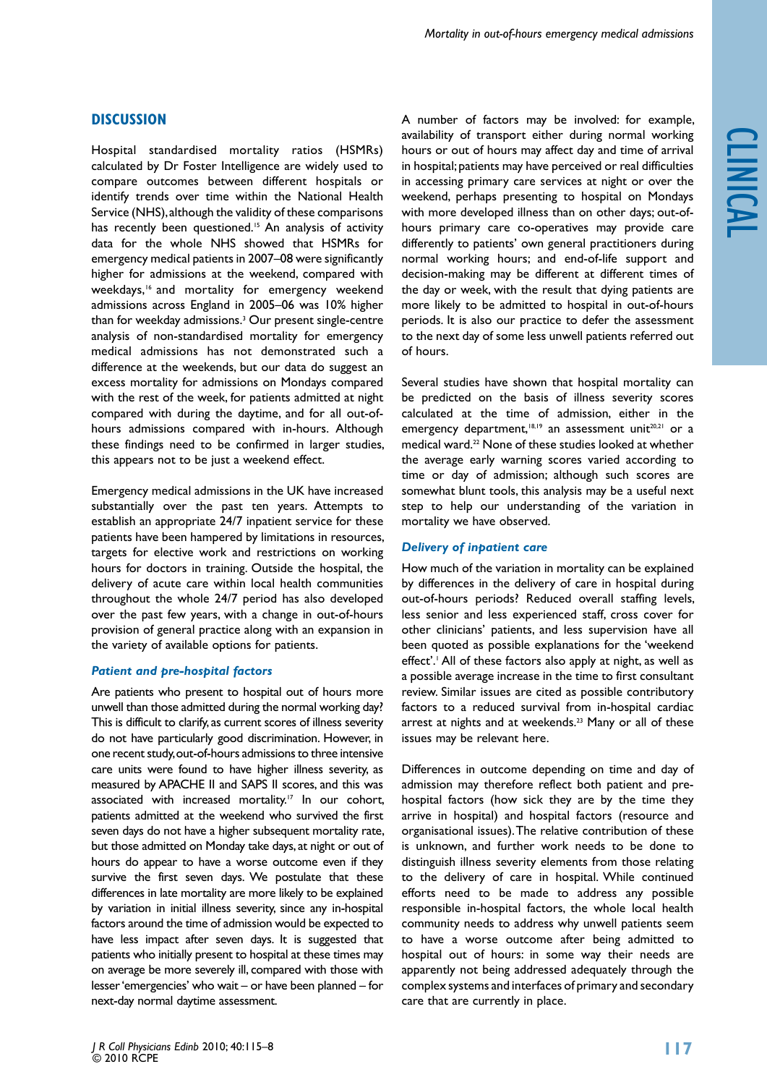## **Discussion**

Hospital standardised mortality ratios (HSMRs) calculated by Dr Foster Intelligence are widely used to compare outcomes between different hospitals or identify trends over time within the National Health Service (NHS), although the validity of these comparisons has recently been questioned.<sup>15</sup> An analysis of activity data for the whole NHS showed that HSMRs for emergency medical patients in 2007–08 were significantly higher for admissions at the weekend, compared with weekdays,<sup>16</sup> and mortality for emergency weekend admissions across England in 2005–06 was 10% higher than for weekday admissions.3 Our present single-centre analysis of non-standardised mortality for emergency medical admissions has not demonstrated such a difference at the weekends, but our data do suggest an excess mortality for admissions on Mondays compared with the rest of the week, for patients admitted at night compared with during the daytime, and for all out-ofhours admissions compared with in-hours. Although these findings need to be confirmed in larger studies, this appears not to be just a weekend effect.

Emergency medical admissions in the UK have increased substantially over the past ten years. Attempts to establish an appropriate 24/7 inpatient service for these patients have been hampered by limitations in resources, targets for elective work and restrictions on working hours for doctors in training. Outside the hospital, the delivery of acute care within local health communities throughout the whole 24/7 period has also developed over the past few years, with a change in out-of-hours provision of general practice along with an expansion in the variety of available options for patients.

#### *Patient and pre-hospital factors*

Are patients who present to hospital out of hours more unwell than those admitted during the normal working day? This is difficult to clarify, as current scores of illness severity do not have particularly good discrimination. However, in one recent study, out-of-hours admissions to three intensive care units were found to have higher illness severity, as measured by APACHE II and SAPS II scores, and this was associated with increased mortality.<sup>17</sup> In our cohort, patients admitted at the weekend who survived the first seven days do not have a higher subsequent mortality rate, but those admitted on Monday take days, at night or out of hours do appear to have a worse outcome even if they survive the first seven days. We postulate that these differences in late mortality are more likely to be explained by variation in initial illness severity, since any in-hospital factors around the time of admission would be expected to have less impact after seven days. It is suggested that patients who initially present to hospital at these times may on average be more severely ill, compared with those with lesser 'emergencies' who wait – or have been planned – for next-day normal daytime assessment.

A number of factors may be involved: for example, availability of transport either during normal working hours or out of hours may affect day and time of arrival in hospital; patients may have perceived or real difficulties in accessing primary care services at night or over the weekend, perhaps presenting to hospital on Mondays with more developed illness than on other days; out-ofhours primary care co-operatives may provide care differently to patients' own general practitioners during normal working hours; and end-of-life support and decision-making may be different at different times of the day or week, with the result that dying patients are more likely to be admitted to hospital in out-of-hours periods. It is also our practice to defer the assessment to the next day of some less unwell patients referred out of hours.

clinical

Several studies have shown that hospital mortality can be predicted on the basis of illness severity scores calculated at the time of admission, either in the emergency department,<sup>18,19</sup> an assessment unit<sup>20,21</sup> or a medical ward.22 None of these studies looked at whether the average early warning scores varied according to time or day of admission; although such scores are somewhat blunt tools, this analysis may be a useful next step to help our understanding of the variation in mortality we have observed.

#### *Delivery of inpatient care*

How much of the variation in mortality can be explained by differences in the delivery of care in hospital during out-of-hours periods? Reduced overall staffing levels, less senior and less experienced staff, cross cover for other clinicians' patients, and less supervision have all been quoted as possible explanations for the 'weekend effect'.<sup>1</sup> All of these factors also apply at night, as well as a possible average increase in the time to first consultant review. Similar issues are cited as possible contributory factors to a reduced survival from in-hospital cardiac arrest at nights and at weekends.<sup>23</sup> Many or all of these issues may be relevant here.

Differences in outcome depending on time and day of admission may therefore reflect both patient and prehospital factors (how sick they are by the time they arrive in hospital) and hospital factors (resource and organisational issues). The relative contribution of these is unknown, and further work needs to be done to distinguish illness severity elements from those relating to the delivery of care in hospital. While continued efforts need to be made to address any possible responsible in-hospital factors, the whole local health community needs to address why unwell patients seem to have a worse outcome after being admitted to hospital out of hours: in some way their needs are apparently not being addressed adequately through the complex systems and interfaces of primary and secondary care that are currently in place.